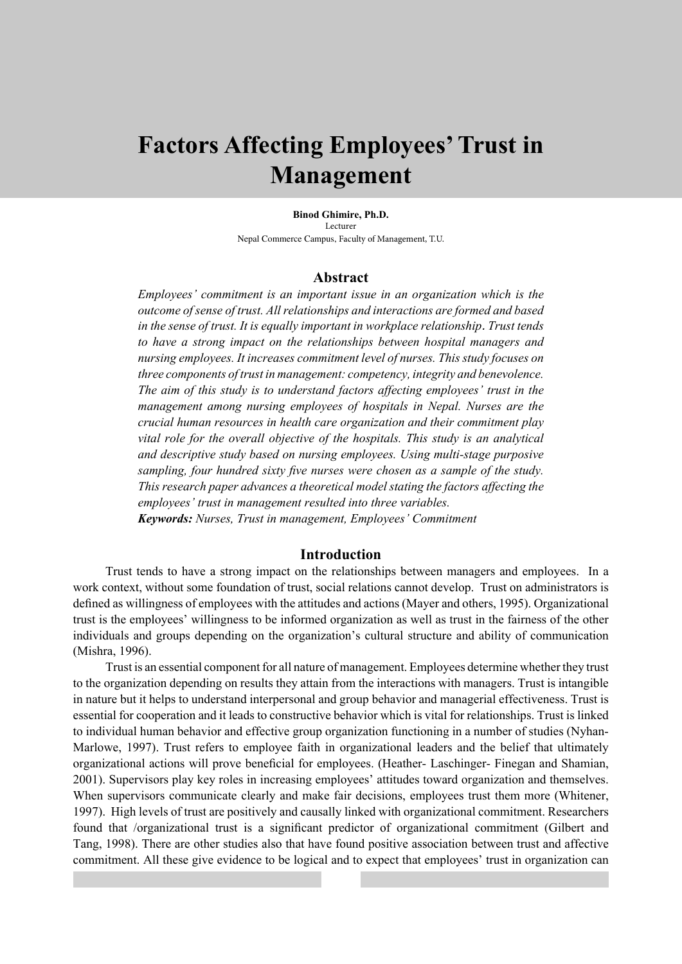# **Factors Affecting Employees' Trust in Management**

**Binod Ghimire, Ph.D.** Lecturer Nepal Commerce Campus, Faculty of Management, T.U.

#### **Abstract**

*Employees' commitment is an important issue in an organization which is the outcome of sense of trust. All relationships and interactions are formed and based in the sense of trust. It is equally important in workplace relationship. Trust tends to have a strong impact on the relationships between hospital managers and nursing employees. It increases commitment level of nurses. This study focuses on three components of trust in management: competency, integrity and benevolence. The aim of this study is to understand factors affecting employees' trust in the management among nursing employees of hospitals in Nepal. Nurses are the crucial human resources in health care organization and their commitment play vital role for the overall objective of the hospitals. This study is an analytical and descriptive study based on nursing employees. Using multi-stage purposive sampling, four hundred sixty five nurses were chosen as a sample of the study. This research paper advances a theoretical model stating the factors affecting the employees' trust in management resulted into three variables. Keywords: Nurses, Trust in management, Employees' Commitment*

#### **Introduction**

Trust tends to have a strong impact on the relationships between managers and employees. In a work context, without some foundation of trust, social relations cannot develop. Trust on administrators is defined as willingness of employees with the attitudes and actions (Mayer and others, 1995). Organizational trust is the employees' willingness to be informed organization as well as trust in the fairness of the other individuals and groups depending on the organization's cultural structure and ability of communication (Mishra, 1996).

Trust is an essential component for all nature of management. Employees determine whether they trust to the organization depending on results they attain from the interactions with managers. Trust is intangible in nature but it helps to understand interpersonal and group behavior and managerial effectiveness. Trust is essential for cooperation and it leads to constructive behavior which is vital for relationships. Trust is linked to individual human behavior and effective group organization functioning in a number of studies (Nyhan-Marlowe, 1997). Trust refers to employee faith in organizational leaders and the belief that ultimately organizational actions will prove beneficial for employees. (Heather- Laschinger- Finegan and Shamian, 2001). Supervisors play key roles in increasing employees' attitudes toward organization and themselves. When supervisors communicate clearly and make fair decisions, employees trust them more (Whitener, 1997). High levels of trust are positively and causally linked with organizational commitment. Researchers found that /organizational trust is a significant predictor of organizational commitment (Gilbert and Tang, 1998). There are other studies also that have found positive association between trust and affective commitment. All these give evidence to be logical and to expect that employees' trust in organization can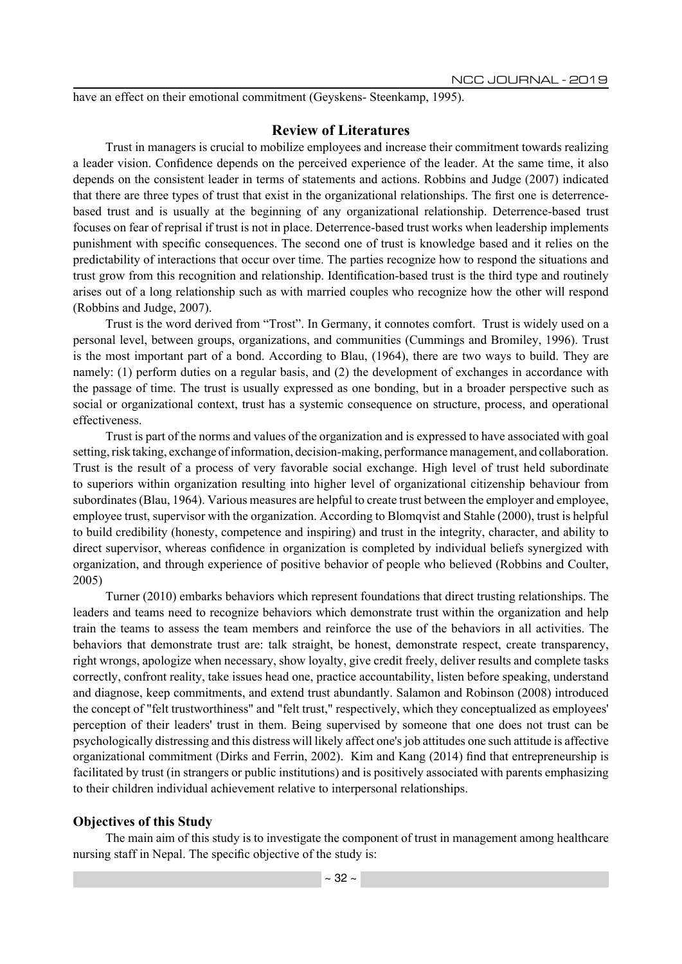have an effect on their emotional commitment (Geyskens- Steenkamp, 1995).

#### **Review of Literatures**

Trust in managers is crucial to mobilize employees and increase their commitment towards realizing a leader vision. Confidence depends on the perceived experience of the leader. At the same time, it also depends on the consistent leader in terms of statements and actions. Robbins and Judge (2007) indicated that there are three types of trust that exist in the organizational relationships. The first one is deterrencebased trust and is usually at the beginning of any organizational relationship. Deterrence-based trust focuses on fear of reprisal if trust is not in place. Deterrence-based trust works when leadership implements punishment with specific consequences. The second one of trust is knowledge based and it relies on the predictability of interactions that occur over time. The parties recognize how to respond the situations and trust grow from this recognition and relationship. Identification-based trust is the third type and routinely arises out of a long relationship such as with married couples who recognize how the other will respond (Robbins and Judge, 2007).

Trust is the word derived from "Trost". In Germany, it connotes comfort. Trust is widely used on a personal level, between groups, organizations, and communities (Cummings and Bromiley, 1996). Trust is the most important part of a bond. According to Blau, (1964), there are two ways to build. They are namely: (1) perform duties on a regular basis, and (2) the development of exchanges in accordance with the passage of time. The trust is usually expressed as one bonding, but in a broader perspective such as social or organizational context, trust has a systemic consequence on structure, process, and operational effectiveness.

Trust is part of the norms and values of the organization and is expressed to have associated with goal setting, risk taking, exchange of information, decision-making, performance management, and collaboration. Trust is the result of a process of very favorable social exchange. High level of trust held subordinate to superiors within organization resulting into higher level of organizational citizenship behaviour from subordinates (Blau, 1964). Various measures are helpful to create trust between the employer and employee, employee trust, supervisor with the organization. According to Blomqvist and Stahle (2000), trust is helpful to build credibility (honesty, competence and inspiring) and trust in the integrity, character, and ability to direct supervisor, whereas confidence in organization is completed by individual beliefs synergized with organization, and through experience of positive behavior of people who believed (Robbins and Coulter, 2005)

Turner (2010) embarks behaviors which represent foundations that direct trusting relationships. The leaders and teams need to recognize behaviors which demonstrate trust within the organization and help train the teams to assess the team members and reinforce the use of the behaviors in all activities. The behaviors that demonstrate trust are: talk straight, be honest, demonstrate respect, create transparency, right wrongs, apologize when necessary, show loyalty, give credit freely, deliver results and complete tasks correctly, confront reality, take issues head one, practice accountability, listen before speaking, understand and diagnose, keep commitments, and extend trust abundantly. Salamon and Robinson (2008) introduced the concept of "felt trustworthiness" and "felt trust," respectively, which they conceptualized as employees' perception of their leaders' trust in them. Being supervised by someone that one does not trust can be psychologically distressing and this distress will likely affect one's job attitudes one such attitude is affective organizational commitment (Dirks and Ferrin, 2002). Kim and Kang (2014) find that entrepreneurship is facilitated by trust (in strangers or public institutions) and is positively associated with parents emphasizing to their children individual achievement relative to interpersonal relationships.

#### **Objectives of this Study**

The main aim of this study is to investigate the component of trust in management among healthcare nursing staff in Nepal. The specific objective of the study is: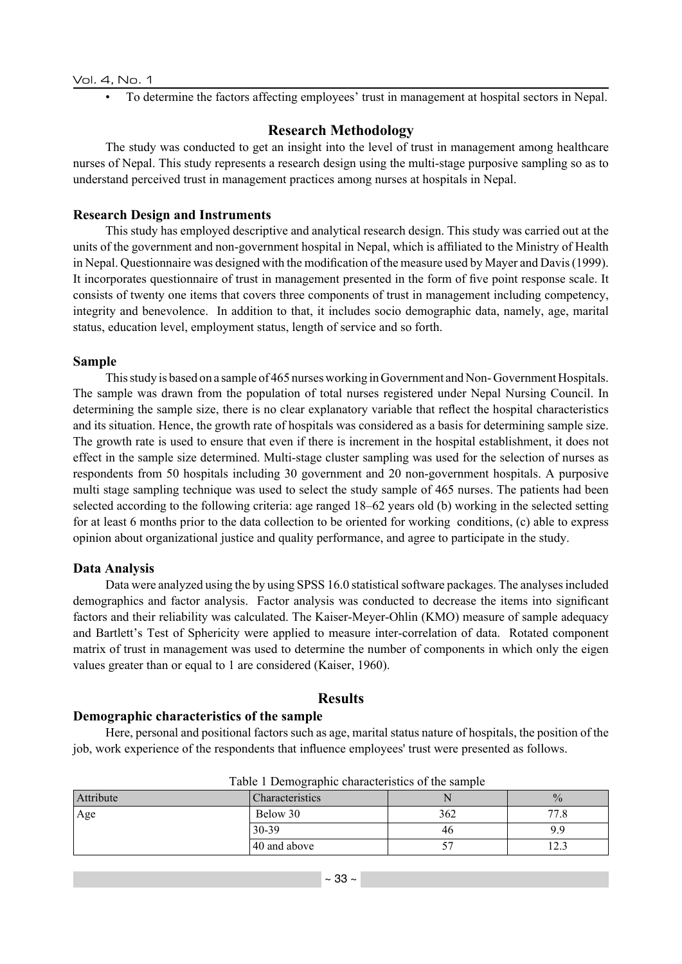• To determine the factors affecting employees' trust in management at hospital sectors in Nepal.

# **Research Methodology**

The study was conducted to get an insight into the level of trust in management among healthcare nurses of Nepal. This study represents a research design using the multi-stage purposive sampling so as to understand perceived trust in management practices among nurses at hospitals in Nepal.

# **Research Design and Instruments**

This study has employed descriptive and analytical research design. This study was carried out at the units of the government and non-government hospital in Nepal, which is affiliated to the Ministry of Health in Nepal. Questionnaire was designed with the modification of the measure used by Mayer and Davis (1999). It incorporates questionnaire of trust in management presented in the form of five point response scale. It consists of twenty one items that covers three components of trust in management including competency, integrity and benevolence. In addition to that, it includes socio demographic data, namely, age, marital status, education level, employment status, length of service and so forth.

### **Sample**

This study is based on a sample of 465 nurses working in Government and Non- Government Hospitals. The sample was drawn from the population of total nurses registered under Nepal Nursing Council. In determining the sample size, there is no clear explanatory variable that reflect the hospital characteristics and its situation. Hence, the growth rate of hospitals was considered as a basis for determining sample size. The growth rate is used to ensure that even if there is increment in the hospital establishment, it does not effect in the sample size determined. Multi-stage cluster sampling was used for the selection of nurses as respondents from 50 hospitals including 30 government and 20 non-government hospitals. A purposive multi stage sampling technique was used to select the study sample of 465 nurses. The patients had been selected according to the following criteria: age ranged 18–62 years old (b) working in the selected setting for at least 6 months prior to the data collection to be oriented for working conditions, (c) able to express opinion about organizational justice and quality performance, and agree to participate in the study.

# **Data Analysis**

Data were analyzed using the by using SPSS 16.0 statistical software packages. The analyses included demographics and factor analysis. Factor analysis was conducted to decrease the items into significant factors and their reliability was calculated. The Kaiser-Meyer-Ohlin (KMO) measure of sample adequacy and Bartlett's Test of Sphericity were applied to measure inter-correlation of data. Rotated component matrix of trust in management was used to determine the number of components in which only the eigen values greater than or equal to 1 are considered (Kaiser, 1960).

# **Results**

#### **Demographic characteristics of the sample**

Here, personal and positional factors such as age, marital status nature of hospitals, the position of the job, work experience of the respondents that influence employees' trust were presented as follows.

| Attribute | Characteristics |     | $\frac{0}{0}$ |  |
|-----------|-----------------|-----|---------------|--|
| Age       | Below 30        | 362 | 77.8          |  |
|           | 30-39           | 46  | 9.9           |  |
|           | 40 and above    |     |               |  |

Table 1 Demographic characteristics of the sample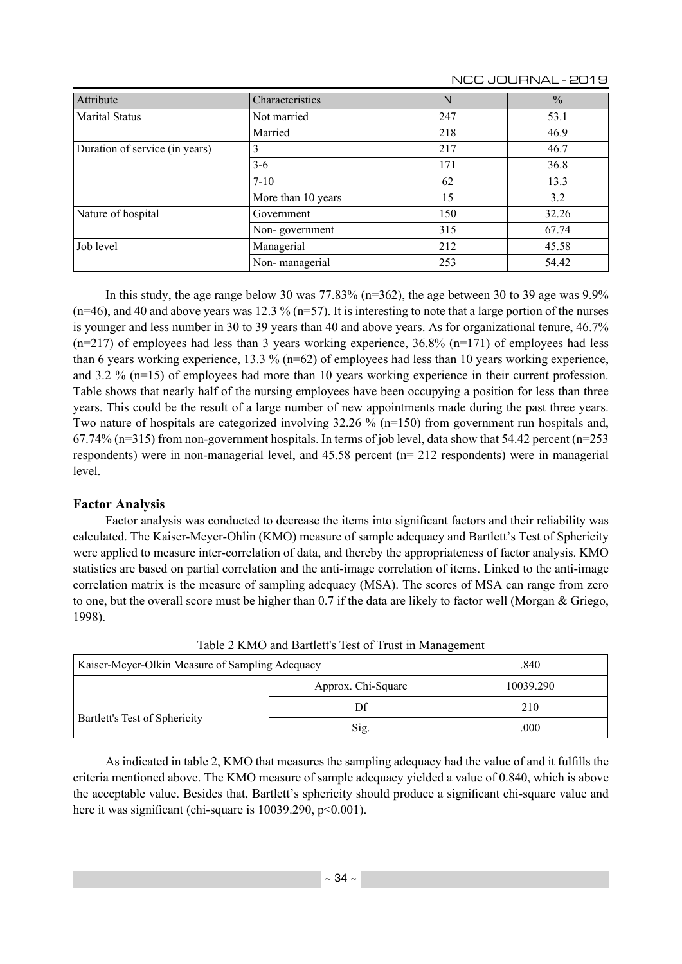| Attribute                      | Characteristics    | N   | $\frac{0}{0}$ |
|--------------------------------|--------------------|-----|---------------|
| Marital Status                 | Not married        | 247 | 53.1          |
|                                | Married            | 218 | 46.9          |
| Duration of service (in years) |                    | 217 | 46.7          |
|                                | $3 - 6$            | 171 | 36.8          |
|                                | $7 - 10$           | 62  | 13.3          |
|                                | More than 10 years | 15  | 3.2           |
| Nature of hospital             | Government         | 150 | 32.26         |
|                                | Non-government     | 315 | 67.74         |
| Job level                      | Managerial         | 212 | 45.58         |
|                                | Non-managerial     | 253 | 54.42         |

NCC JOURNAL - 2019

In this study, the age range below 30 was  $77.83\%$  (n=362), the age between 30 to 39 age was 9.9%  $(n=46)$ , and 40 and above years was 12.3 %  $(n=57)$ . It is interesting to note that a large portion of the nurses is younger and less number in 30 to 39 years than 40 and above years. As for organizational tenure, 46.7%  $(n=217)$  of employees had less than 3 years working experience, 36.8%  $(n=171)$  of employees had less than 6 years working experience, 13.3 % ( $n=62$ ) of employees had less than 10 years working experience, and 3.2 % (n=15) of employees had more than 10 years working experience in their current profession. Table shows that nearly half of the nursing employees have been occupying a position for less than three years. This could be the result of a large number of new appointments made during the past three years. Two nature of hospitals are categorized involving 32.26 % ( $n=150$ ) from government run hospitals and, 67.74% (n=315) from non-government hospitals. In terms of job level, data show that 54.42 percent (n=253 respondents) were in non-managerial level, and 45.58 percent (n= 212 respondents) were in managerial level.

# **Factor Analysis**

Factor analysis was conducted to decrease the items into significant factors and their reliability was calculated. The Kaiser-Meyer-Ohlin (KMO) measure of sample adequacy and Bartlett's Test of Sphericity were applied to measure inter-correlation of data, and thereby the appropriateness of factor analysis. KMO statistics are based on partial correlation and the anti-image correlation of items. Linked to the anti-image correlation matrix is the measure of sampling adequacy (MSA). The scores of MSA can range from zero to one, but the overall score must be higher than 0.7 if the data are likely to factor well (Morgan & Griego, 1998).

| Kaiser-Meyer-Olkin Measure of Sampling Adequacy |                    | .840      |  |  |
|-------------------------------------------------|--------------------|-----------|--|--|
|                                                 | Approx. Chi-Square | 10039.290 |  |  |
| Bartlett's Test of Sphericity                   | Df                 | 210       |  |  |
|                                                 | Sig.               | .000      |  |  |

Table 2 KMO and Bartlett's Test of Trust in Management

As indicated in table 2, KMO that measures the sampling adequacy had the value of and it fulfills the criteria mentioned above. The KMO measure of sample adequacy yielded a value of 0.840, which is above the acceptable value. Besides that, Bartlett's sphericity should produce a significant chi-square value and here it was significant (chi-square is  $10039.290$ ,  $p<0.001$ ).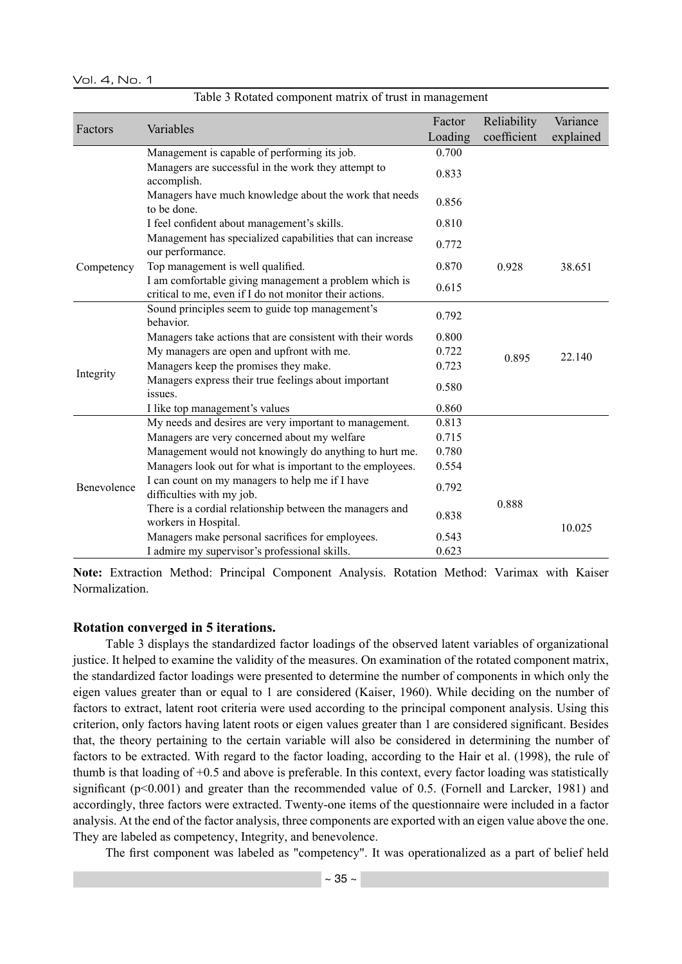|  |  |  | Table 3 Rotated component matrix of trust in management |
|--|--|--|---------------------------------------------------------|
|  |  |  |                                                         |

| Factors     | Variables                                                                                                        | Factor<br>Loading | Reliability<br>coefficient | Variance<br>explained |
|-------------|------------------------------------------------------------------------------------------------------------------|-------------------|----------------------------|-----------------------|
|             | Management is capable of performing its job.                                                                     | 0.700             |                            |                       |
|             | Managers are successful in the work they attempt to                                                              |                   |                            |                       |
|             | accomplish.                                                                                                      | 0.833             |                            |                       |
|             | Managers have much knowledge about the work that needs<br>to be done.                                            | 0.856             |                            |                       |
|             | I feel confident about management's skills.                                                                      | 0.810             |                            |                       |
|             | Management has specialized capabilities that can increase<br>our performance.                                    | 0.772             |                            |                       |
| Competency  | Top management is well qualified.                                                                                | 0.870             | 0.928                      | 38.651                |
|             | I am comfortable giving management a problem which is<br>critical to me, even if I do not monitor their actions. | 0.615             |                            |                       |
|             | Sound principles seem to guide top management's<br>behavior.                                                     | 0.792             |                            |                       |
|             | Managers take actions that are consistent with their words                                                       | 0.800             |                            |                       |
|             | My managers are open and upfront with me.                                                                        | 0.722             | 0.895                      | 22.140                |
| Integrity   | Managers keep the promises they make.                                                                            | 0.723             |                            |                       |
|             | Managers express their true feelings about important<br>issues.                                                  | 0.580             |                            |                       |
|             | I like top management's values                                                                                   | 0.860             |                            |                       |
|             | My needs and desires are very important to management.                                                           | 0.813             |                            |                       |
|             | Managers are very concerned about my welfare                                                                     | 0.715             |                            |                       |
|             | Management would not knowingly do anything to hurt me.                                                           | 0.780             |                            |                       |
|             | Managers look out for what is important to the employees.                                                        | 0.554             |                            |                       |
| Benevolence | I can count on my managers to help me if I have<br>difficulties with my job.                                     | 0.792             |                            |                       |
|             | There is a cordial relationship between the managers and<br>workers in Hospital.                                 | 0.838             | 0.888                      |                       |
|             | Managers make personal sacrifices for employees.                                                                 | 0.543             |                            | 10.025                |
|             | I admire my supervisor's professional skills.                                                                    | 0.623             |                            |                       |

**Note:** Extraction Method: Principal Component Analysis. Rotation Method: Varimax with Kaiser Normalization.

#### **Rotation converged in 5 iterations.**

Table 3 displays the standardized factor loadings of the observed latent variables of organizational justice. It helped to examine the validity of the measures. On examination of the rotated component matrix, the standardized factor loadings were presented to determine the number of components in which only the eigen values greater than or equal to 1 are considered (Kaiser, 1960). While deciding on the number of factors to extract, latent root criteria were used according to the principal component analysis. Using this criterion, only factors having latent roots or eigen values greater than 1 are considered significant. Besides that, the theory pertaining to the certain variable will also be considered in determining the number of factors to be extracted. With regard to the factor loading, according to the Hair et al. (1998), the rule of thumb is that loading of +0.5 and above is preferable. In this context, every factor loading was statistically significant  $(p<0.001)$  and greater than the recommended value of 0.5. (Fornell and Larcker, 1981) and accordingly, three factors were extracted. Twenty-one items of the questionnaire were included in a factor analysis. At the end of the factor analysis, three components are exported with an eigen value above the one. They are labeled as competency, Integrity, and benevolence.

The first component was labeled as "competency". It was operationalized as a part of belief held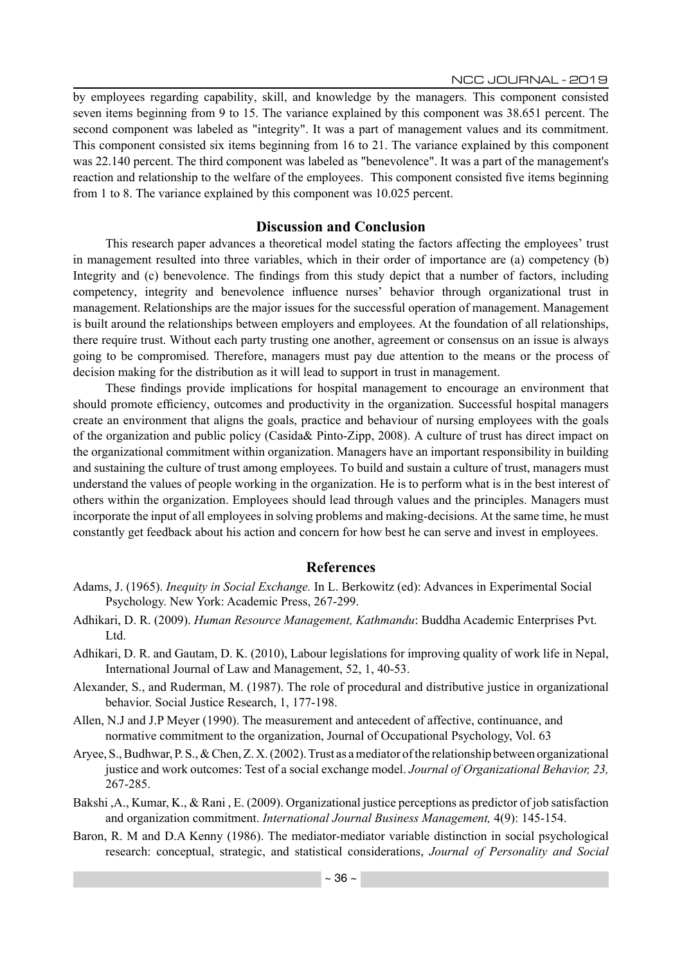by employees regarding capability, skill, and knowledge by the managers. This component consisted seven items beginning from 9 to 15. The variance explained by this component was 38.651 percent. The second component was labeled as "integrity". It was a part of management values and its commitment. This component consisted six items beginning from 16 to 21. The variance explained by this component was 22.140 percent. The third component was labeled as "benevolence". It was a part of the management's reaction and relationship to the welfare of the employees. This component consisted five items beginning from 1 to 8. The variance explained by this component was 10.025 percent.

## **Discussion and Conclusion**

This research paper advances a theoretical model stating the factors affecting the employees' trust in management resulted into three variables, which in their order of importance are (a) competency (b) Integrity and (c) benevolence. The findings from this study depict that a number of factors, including competency, integrity and benevolence influence nurses' behavior through organizational trust in management. Relationships are the major issues for the successful operation of management. Management is built around the relationships between employers and employees. At the foundation of all relationships, there require trust. Without each party trusting one another, agreement or consensus on an issue is always going to be compromised. Therefore, managers must pay due attention to the means or the process of decision making for the distribution as it will lead to support in trust in management.

These findings provide implications for hospital management to encourage an environment that should promote efficiency, outcomes and productivity in the organization. Successful hospital managers create an environment that aligns the goals, practice and behaviour of nursing employees with the goals of the organization and public policy (Casida& Pinto-Zipp, 2008). A culture of trust has direct impact on the organizational commitment within organization. Managers have an important responsibility in building and sustaining the culture of trust among employees. To build and sustain a culture of trust, managers must understand the values of people working in the organization. He is to perform what is in the best interest of others within the organization. Employees should lead through values and the principles. Managers must incorporate the input of all employees in solving problems and making-decisions. At the same time, he must constantly get feedback about his action and concern for how best he can serve and invest in employees.

#### **References**

- Adams, J. (1965). *Inequity in Social Exchange.* In L. Berkowitz (ed): Advances in Experimental Social Psychology. New York: Academic Press, 267-299.
- Adhikari, D. R. (2009). *Human Resource Management, Kathmandu*: Buddha Academic Enterprises Pvt. Ltd.
- Adhikari, D. R. and Gautam, D. K. (2010), Labour legislations for improving quality of work life in Nepal, International Journal of Law and Management, 52, 1, 40-53.
- Alexander, S., and Ruderman, M. (1987). The role of procedural and distributive justice in organizational behavior. Social Justice Research, 1, 177-198.
- Allen, N.J and J.P Meyer (1990). The measurement and antecedent of affective, continuance, and normative commitment to the organization, Journal of Occupational Psychology, Vol. 63
- Aryee, S., Budhwar, P. S., & Chen, Z. X. (2002). Trust as a mediator of the relationship between organizational justice and work outcomes: Test of a social exchange model. *Journal of Organizational Behavior, 23,* 267-285.
- Bakshi ,A., Kumar, K., & Rani , E. (2009). Organizational justice perceptions as predictor of job satisfaction and organization commitment. *International Journal Business Management,* 4(9): 145-154.
- Baron, R. M and D.A Kenny (1986). The mediator-mediator variable distinction in social psychological research: conceptual, strategic, and statistical considerations, *Journal of Personality and Social*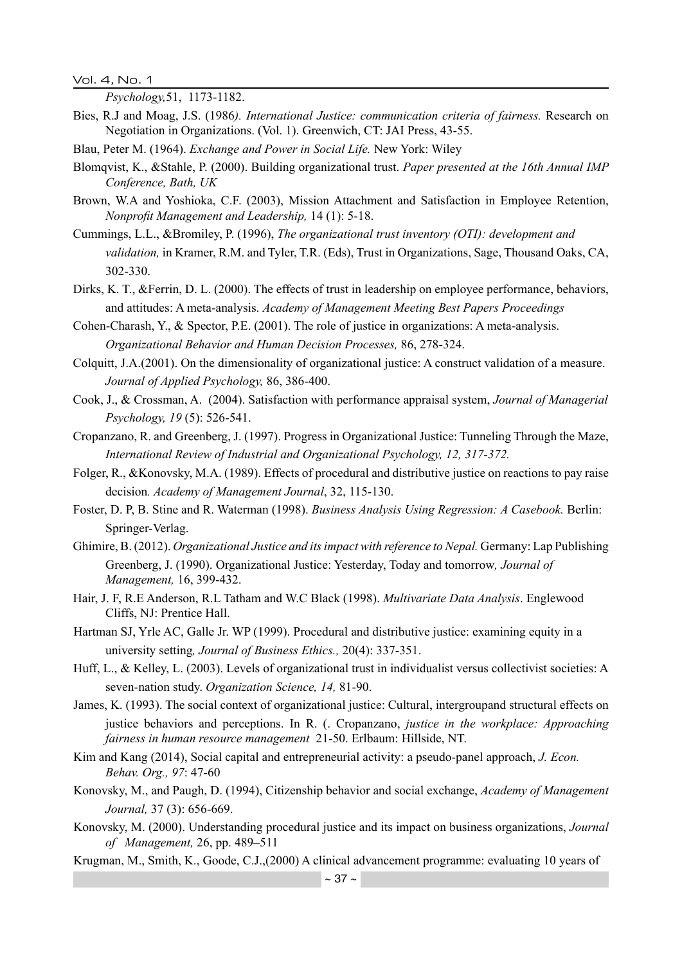Vol. 4, No. 1

*Psychology,*51, 1173-1182.

- Bies, R.J and Moag, J.S. (1986*). International Justice: communication criteria of fairness.* Research on Negotiation in Organizations. (Vol. 1). Greenwich, CT: JAI Press, 43-55.
- Blau, Peter M. (1964). *Exchange and Power in Social Life.* New York: Wiley
- Blomqvist, K., &Stahle, P. (2000). Building organizational trust. *Paper presented at the 16th Annual IMP Conference, Bath, UK*
- Brown, W.A and Yoshioka, C.F. (2003), Mission Attachment and Satisfaction in Employee Retention, *Nonprofit Management and Leadership,* 14 (1): 5-18.
- Cummings, L.L., &Bromiley, P. (1996), *The organizational trust inventory (OTI): development and validation,* in Kramer, R.M. and Tyler, T.R. (Eds), Trust in Organizations, Sage, Thousand Oaks, CA, 302-330.
- Dirks, K. T., &Ferrin, D. L. (2000). The effects of trust in leadership on employee performance, behaviors, and attitudes: A meta-analysis. *Academy of Management Meeting Best Papers Proceedings*
- Cohen-Charash, Y., & Spector, P.E. (2001). The role of justice in organizations: A meta-analysis. *Organizational Behavior and Human Decision Processes,* 86, 278-324.
- Colquitt, J.A.(2001). On the dimensionality of organizational justice: A construct validation of a measure. *Journal of Applied Psychology,* 86, 386-400.
- Cook, J., & Crossman, A. (2004). Satisfaction with performance appraisal system, *Journal of Managerial Psychology, 19* (5): 526-541.
- Cropanzano, R. and Greenberg, J. (1997). Progress in Organizational Justice: Tunneling Through the Maze, *International Review of Industrial and Organizational Psychology, 12, 317-372.*
- Folger, R., &Konovsky, M.A. (1989). Effects of procedural and distributive justice on reactions to pay raise decision*. Academy of Management Journal*, 32, 115-130.
- Foster, D. P, B. Stine and R. Waterman (1998). *Business Analysis Using Regression: A Casebook.* Berlin: Springer-Verlag.
- Ghimire, B. (2012). *Organizational Justice and its impact with reference to Nepal.* Germany: Lap Publishing Greenberg, J. (1990). Organizational Justice: Yesterday, Today and tomorrow*, Journal of Management,* 16, 399-432.
- Hair, J. F, R.E Anderson, R.L Tatham and W.C Black (1998). *Multivariate Data Analysis*. Englewood Cliffs, NJ: Prentice Hall.
- Hartman SJ, Yrle AC, Galle Jr. WP (1999). Procedural and distributive justice: examining equity in a university setting*, Journal of Business Ethics.,* 20(4): 337-351.
- Huff, L., & Kelley, L. (2003). Levels of organizational trust in individualist versus collectivist societies: A seven-nation study. *Organization Science, 14,* 81-90.
- James, K. (1993). The social context of organizational justice: Cultural, intergroupand structural effects on justice behaviors and perceptions. In R. (. Cropanzano, *justice in the workplace: Approaching fairness in human resource management* 21-50. Erlbaum: Hillside, NT.
- Kim and Kang (2014), Social capital and entrepreneurial activity: a pseudo-panel approach, *J. Econ. Behav. Org., 97*: 47-60
- Konovsky, M., and Paugh, D. (1994), Citizenship behavior and social exchange, *Academy of Management Journal,* 37 (3): 656-669.
- Konovsky, M. (2000). Understanding procedural justice and its impact on business organizations, *Journal of Management,* 26, pp. 489–511
- Krugman, M., Smith, K., Goode, C.J.,(2000) A clinical advancement programme: evaluating 10 years of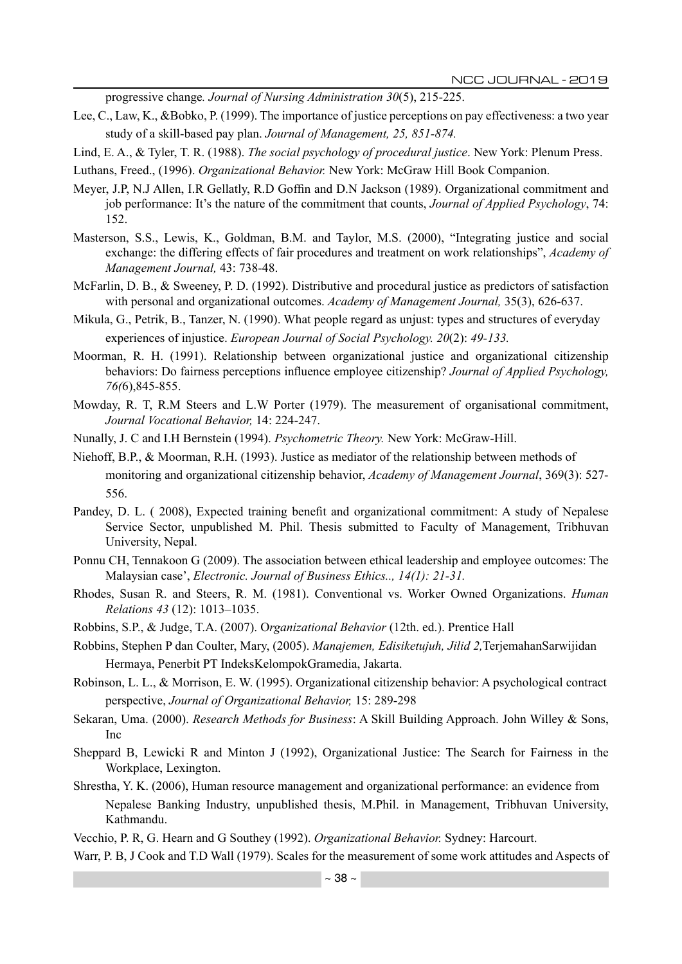progressive change*. Journal of Nursing Administration 30*(5), 215-225.

- Lee, C., Law, K., &Bobko, P. (1999). The importance of justice perceptions on pay effectiveness: a two year study of a skill-based pay plan. *Journal of Management, 25, 851-874.*
- Lind, E. A., & Tyler, T. R. (1988). *The social psychology of procedural justice*. New York: Plenum Press.
- Luthans, Freed., (1996). *Organizational Behavior.* New York: McGraw Hill Book Companion.
- Meyer, J.P, N.J Allen, I.R Gellatly, R.D Goffin and D.N Jackson (1989). Organizational commitment and job performance: It's the nature of the commitment that counts, *Journal of Applied Psychology*, 74: 152.
- Masterson, S.S., Lewis, K., Goldman, B.M. and Taylor, M.S. (2000), "Integrating justice and social exchange: the differing effects of fair procedures and treatment on work relationships", *Academy of Management Journal,* 43: 738-48.
- McFarlin, D. B., & Sweeney, P. D. (1992). Distributive and procedural justice as predictors of satisfaction with personal and organizational outcomes. *Academy of Management Journal,* 35(3), 626-637.
- Mikula, G., Petrik, B., Tanzer, N. (1990). What people regard as unjust: types and structures of everyday experiences of injustice. *European Journal of Social Psychology. 20*(2): *49-133.*
- Moorman, R. H. (1991). Relationship between organizational justice and organizational citizenship behaviors: Do fairness perceptions influence employee citizenship? *Journal of Applied Psychology, 76(*6),845-855.
- Mowday, R. T, R.M Steers and L.W Porter (1979). The measurement of organisational commitment, *Journal Vocational Behavior,* 14: 224-247.
- Nunally, J. C and I.H Bernstein (1994). *Psychometric Theory.* New York: McGraw-Hill.
- Niehoff, B.P., & Moorman, R.H. (1993). Justice as mediator of the relationship between methods of monitoring and organizational citizenship behavior, *Academy of Management Journal*, 369(3): 527- 556.
- Pandey, D. L. ( 2008), Expected training benefit and organizational commitment: A study of Nepalese Service Sector, unpublished M. Phil. Thesis submitted to Faculty of Management, Tribhuvan University, Nepal.
- Ponnu CH, Tennakoon G (2009). The association between ethical leadership and employee outcomes: The Malaysian case', *Electronic. Journal of Business Ethics.., 14(1): 21-31.*
- Rhodes, Susan R. and Steers, R. M. (1981). Conventional vs. Worker Owned Organizations. *Human Relations 43* (12): 1013–1035.
- Robbins, S.P., & Judge, T.A. (2007). O*rganizational Behavior* (12th. ed.). Prentice Hall
- Robbins, Stephen P dan Coulter, Mary, (2005). *Manajemen, Edisiketujuh, Jilid 2,*TerjemahanSarwijidan Hermaya, Penerbit PT IndeksKelompokGramedia, Jakarta.
- Robinson, L. L., & Morrison, E. W. (1995). Organizational citizenship behavior: A psychological contract perspective, *Journal of Organizational Behavior,* 15: 289-298
- Sekaran, Uma. (2000). *Research Methods for Business*: A Skill Building Approach. John Willey & Sons, Inc
- Sheppard B, Lewicki R and Minton J (1992), Organizational Justice: The Search for Fairness in the Workplace, Lexington.
- Shrestha, Y. K. (2006), Human resource management and organizational performance: an evidence from Nepalese Banking Industry, unpublished thesis, M.Phil. in Management, Tribhuvan University, Kathmandu.

Vecchio, P. R, G. Hearn and G Southey (1992). *Organizational Behavior.* Sydney: Harcourt.

Warr, P. B, J Cook and T.D Wall (1979). Scales for the measurement of some work attitudes and Aspects of